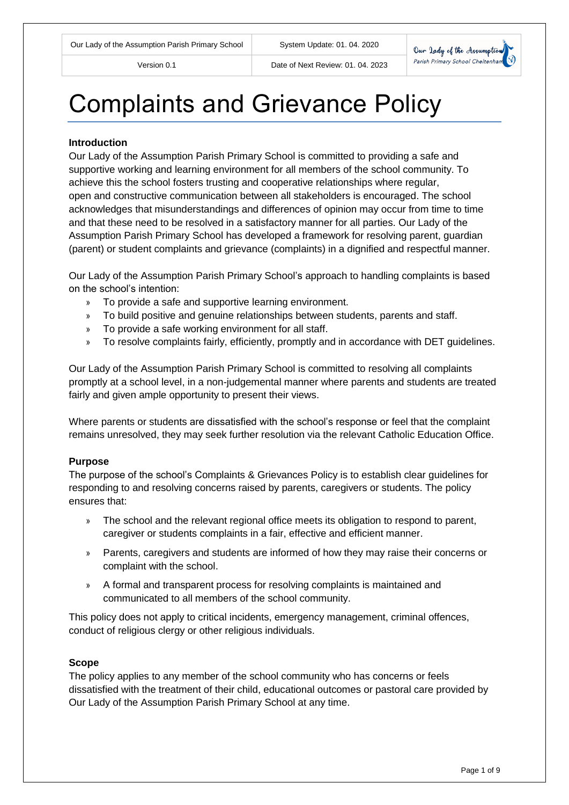

# Complaints and Grievance Policy

#### **Introduction**

Our Lady of the Assumption Parish Primary School is committed to providing a safe and supportive working and learning environment for all members of the school community. To achieve this the school fosters trusting and cooperative relationships where regular, open and constructive communication between all stakeholders is encouraged. The school acknowledges that misunderstandings and differences of opinion may occur from time to time and that these need to be resolved in a satisfactory manner for all parties. Our Lady of the Assumption Parish Primary School has developed a framework for resolving parent, guardian (parent) or student complaints and grievance (complaints) in a dignified and respectful manner.

Our Lady of the Assumption Parish Primary School's approach to handling complaints is based on the school's intention:

- » To provide a safe and supportive learning environment.
- » To build positive and genuine relationships between students, parents and staff.
- » To provide a safe working environment for all staff.
- » To resolve complaints fairly, efficiently, promptly and in accordance with DET guidelines.

Our Lady of the Assumption Parish Primary School is committed to resolving all complaints promptly at a school level, in a non-judgemental manner where parents and students are treated fairly and given ample opportunity to present their views.

Where parents or students are dissatisfied with the school's response or feel that the complaint remains unresolved, they may seek further resolution via the relevant Catholic Education Office.

#### **Purpose**

The purpose of the school's Complaints & Grievances Policy is to establish clear guidelines for responding to and resolving concerns raised by parents, caregivers or students. The policy ensures that:

- » The school and the relevant regional office meets its obligation to respond to parent, caregiver or students complaints in a fair, effective and efficient manner.
- » Parents, caregivers and students are informed of how they may raise their concerns or complaint with the school.
- » A formal and transparent process for resolving complaints is maintained and communicated to all members of the school community.

This policy does not apply to critical incidents, emergency management, criminal offences, conduct of religious clergy or other religious individuals.

#### **Scope**

The policy applies to any member of the school community who has concerns or feels dissatisfied with the treatment of their child, educational outcomes or pastoral care provided by Our Lady of the Assumption Parish Primary School at any time.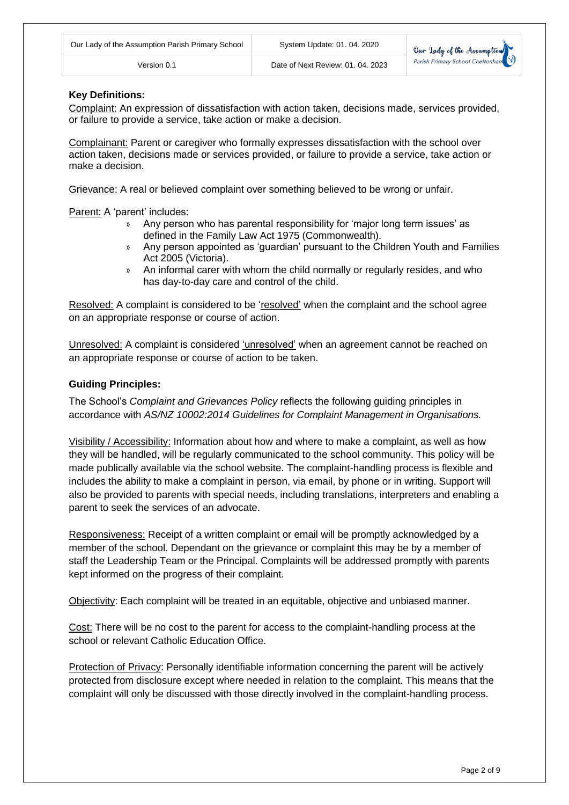#### **Key Definitions:**

Complaint: An expression of dissatisfaction with action taken, decisions made, services provided, or failure to provide a service, take action or make a decision.

Complainant: Parent or caregiver who formally expresses dissatisfaction with the school over action taken, decisions made or services provided, or failure to provide a service, take action or make a decision.

Grievance: A real or believed complaint over something believed to be wrong or unfair.

Parent: A 'parent' includes:

- » Any person who has parental responsibility for 'major long term issues' as defined in the Family Law Act 1975 (Commonwealth).
- » Any person appointed as 'guardian' pursuant to the Children Youth and Families Act 2005 (Victoria).
- » An informal carer with whom the child normally or regularly resides, and who has day-to-day care and control of the child.

Resolved: A complaint is considered to be 'resolved' when the complaint and the school agree on an appropriate response or course of action.

Unresolved: A complaint is considered 'unresolved' when an agreement cannot be reached on an appropriate response or course of action to be taken.

#### **Guiding Principles:**

The School's *Complaint and Grievances Policy* reflects the following guiding principles in accordance with *AS/NZ 10002:2014 Guidelines for Complaint Management in Organisations.*

Visibility / Accessibility: Information about how and where to make a complaint, as well as how they will be handled, will be regularly communicated to the school community. This policy will be made publically available via the school website. The complaint-handling process is flexible and includes the ability to make a complaint in person, via email, by phone or in writing. Support will also be provided to parents with special needs, including translations, interpreters and enabling a parent to seek the services of an advocate.

Responsiveness: Receipt of a written complaint or email will be promptly acknowledged by a member of the school. Dependant on the grievance or complaint this may be by a member of staff the Leadership Team or the Principal. Complaints will be addressed promptly with parents kept informed on the progress of their complaint.

Objectivity: Each complaint will be treated in an equitable, objective and unbiased manner.

Cost: There will be no cost to the parent for access to the complaint-handling process at the school or relevant Catholic Education Office.

Protection of Privacy: Personally identifiable information concerning the parent will be actively protected from disclosure except where needed in relation to the complaint. This means that the complaint will only be discussed with those directly involved in the complaint-handling process.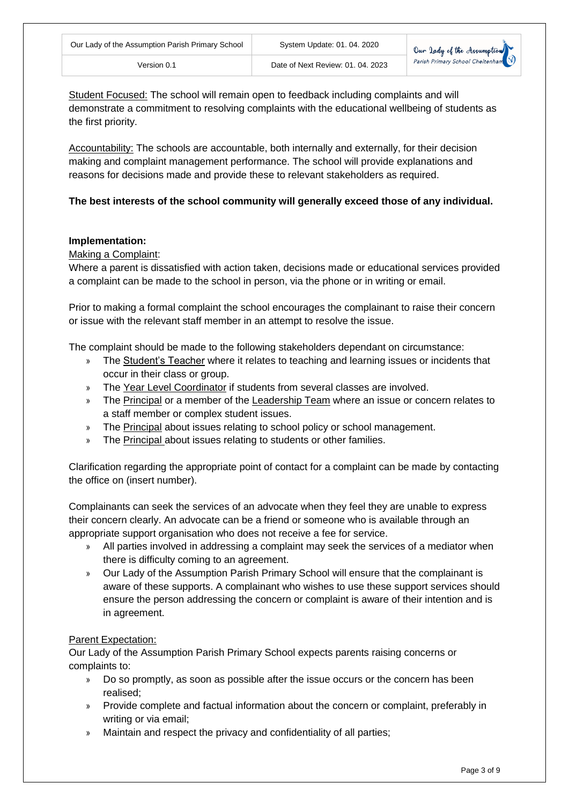Student Focused: The school will remain open to feedback including complaints and will demonstrate a commitment to resolving complaints with the educational wellbeing of students as the first priority.

Accountability: The schools are accountable, both internally and externally, for their decision making and complaint management performance. The school will provide explanations and reasons for decisions made and provide these to relevant stakeholders as required.

### **The best interests of the school community will generally exceed those of any individual.**

### **Implementation:**

Making a Complaint:

Where a parent is dissatisfied with action taken, decisions made or educational services provided a complaint can be made to the school in person, via the phone or in writing or email.

Prior to making a formal complaint the school encourages the complainant to raise their concern or issue with the relevant staff member in an attempt to resolve the issue.

The complaint should be made to the following stakeholders dependant on circumstance:

- » The Student's Teacher where it relates to teaching and learning issues or incidents that occur in their class or group.
- » The Year Level Coordinator if students from several classes are involved.
- » The Principal or a member of the Leadership Team where an issue or concern relates to a staff member or complex student issues.
- » The Principal about issues relating to school policy or school management.
- » The Principal about issues relating to students or other families.

Clarification regarding the appropriate point of contact for a complaint can be made by contacting the office on (insert number).

Complainants can seek the services of an advocate when they feel they are unable to express their concern clearly. An advocate can be a friend or someone who is available through an appropriate support organisation who does not receive a fee for service.

- » All parties involved in addressing a complaint may seek the services of a mediator when there is difficulty coming to an agreement.
- » Our Lady of the Assumption Parish Primary School will ensure that the complainant is aware of these supports. A complainant who wishes to use these support services should ensure the person addressing the concern or complaint is aware of their intention and is in agreement.

#### Parent Expectation:

Our Lady of the Assumption Parish Primary School expects parents raising concerns or complaints to:

- » Do so promptly, as soon as possible after the issue occurs or the concern has been realised;
- » Provide complete and factual information about the concern or complaint, preferably in writing or via email;
- » Maintain and respect the privacy and confidentiality of all parties;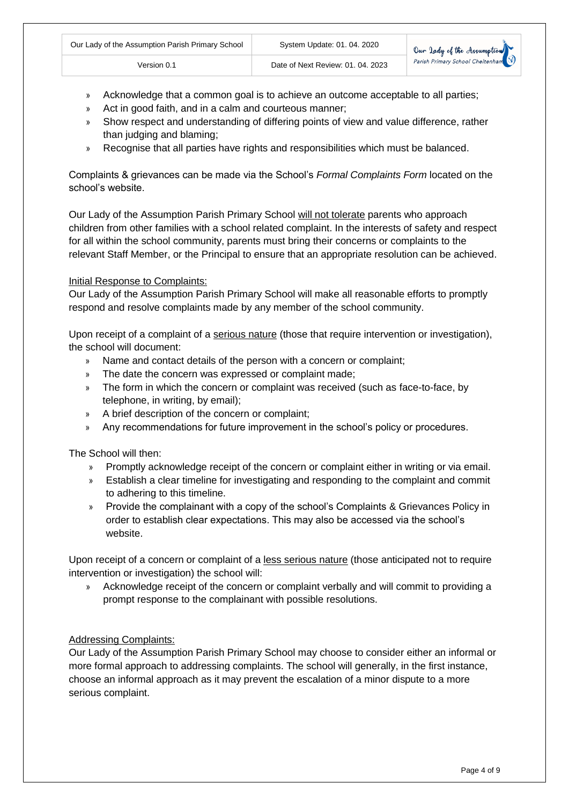» Acknowledge that a common goal is to achieve an outcome acceptable to all parties;

Version 0.1 Date of Next Review: 01. 04. 2023

- » Act in good faith, and in a calm and courteous manner;
- » Show respect and understanding of differing points of view and value difference, rather than judging and blaming;
- » Recognise that all parties have rights and responsibilities which must be balanced.

Complaints & grievances can be made via the School's *Formal Complaints Form* located on the school's website.

Our Lady of the Assumption Parish Primary School will not tolerate parents who approach children from other families with a school related complaint. In the interests of safety and respect for all within the school community, parents must bring their concerns or complaints to the relevant Staff Member, or the Principal to ensure that an appropriate resolution can be achieved.

### Initial Response to Complaints:

Our Lady of the Assumption Parish Primary School will make all reasonable efforts to promptly respond and resolve complaints made by any member of the school community.

Upon receipt of a complaint of a serious nature (those that require intervention or investigation), the school will document:

- » Name and contact details of the person with a concern or complaint;
- » The date the concern was expressed or complaint made;
- » The form in which the concern or complaint was received (such as face-to-face, by telephone, in writing, by email);
- » A brief description of the concern or complaint;
- » Any recommendations for future improvement in the school's policy or procedures.

The School will then:

- » Promptly acknowledge receipt of the concern or complaint either in writing or via email.
- » Establish a clear timeline for investigating and responding to the complaint and commit to adhering to this timeline.
- » Provide the complainant with a copy of the school's Complaints & Grievances Policy in order to establish clear expectations. This may also be accessed via the school's website.

Upon receipt of a concern or complaint of a less serious nature (those anticipated not to require intervention or investigation) the school will:

» Acknowledge receipt of the concern or complaint verbally and will commit to providing a prompt response to the complainant with possible resolutions.

#### Addressing Complaints:

Our Lady of the Assumption Parish Primary School may choose to consider either an informal or more formal approach to addressing complaints. The school will generally, in the first instance, choose an informal approach as it may prevent the escalation of a minor dispute to a more serious complaint.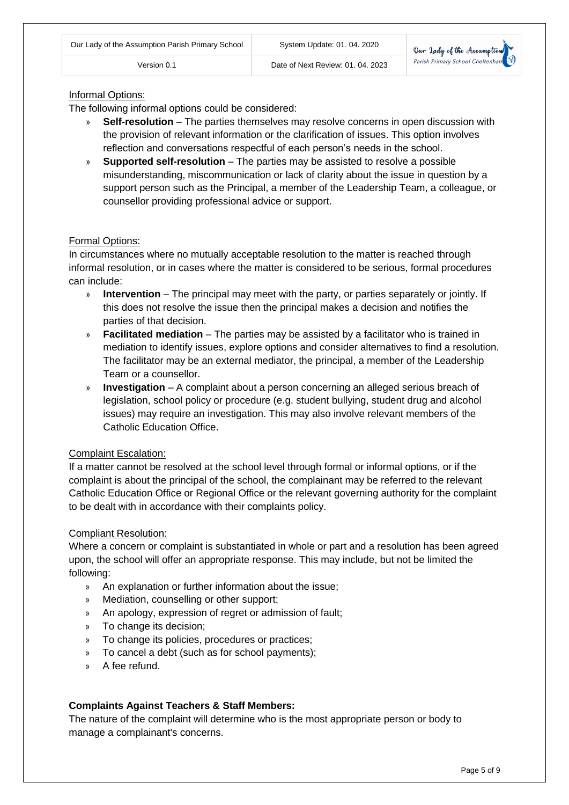#### Informal Options:

The following informal options could be considered:

- » **Self-resolution** The parties themselves may resolve concerns in open discussion with the provision of relevant information or the clarification of issues. This option involves reflection and conversations respectful of each person's needs in the school.
- » **Supported self-resolution** The parties may be assisted to resolve a possible misunderstanding, miscommunication or lack of clarity about the issue in question by a support person such as the Principal, a member of the Leadership Team, a colleague, or counsellor providing professional advice or support.

#### Formal Options:

In circumstances where no mutually acceptable resolution to the matter is reached through informal resolution, or in cases where the matter is considered to be serious, formal procedures can include:

- » **Intervention**  The principal may meet with the party, or parties separately or jointly. If this does not resolve the issue then the principal makes a decision and notifies the parties of that decision.
- » **Facilitated mediation** The parties may be assisted by a facilitator who is trained in mediation to identify issues, explore options and consider alternatives to find a resolution. The facilitator may be an external mediator, the principal, a member of the Leadership Team or a counsellor.
- » **Investigation** A complaint about a person concerning an alleged serious breach of legislation, school policy or procedure (e.g. student bullying, student drug and alcohol issues) may require an investigation. This may also involve relevant members of the Catholic Education Office.

#### Complaint Escalation:

If a matter cannot be resolved at the school level through formal or informal options, or if the complaint is about the principal of the school, the complainant may be referred to the relevant Catholic Education Office or Regional Office or the relevant governing authority for the complaint to be dealt with in accordance with their complaints policy.

#### Compliant Resolution:

Where a concern or complaint is substantiated in whole or part and a resolution has been agreed upon, the school will offer an appropriate response. This may include, but not be limited the following:

- » An explanation or further information about the issue;
- » Mediation, counselling or other support;
- » An apology, expression of regret or admission of fault;
- » To change its decision;
- » To change its policies, procedures or practices;
- » To cancel a debt (such as for school payments);
- » A fee refund.

#### **Complaints Against Teachers & Staff Members:**

The nature of the complaint will determine who is the most appropriate person or body to manage a complainant's concerns.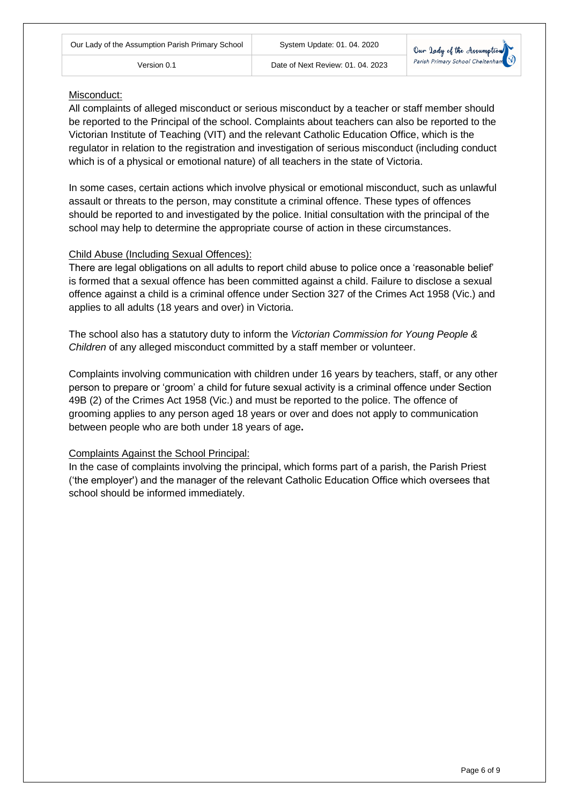

#### Misconduct:

All complaints of alleged misconduct or serious misconduct by a teacher or staff member should be reported to the Principal of the school. Complaints about teachers can also be reported to the Victorian Institute of Teaching (VIT) and the relevant Catholic Education Office, which is the regulator in relation to the registration and investigation of serious misconduct (including conduct which is of a physical or emotional nature) of all teachers in the state of Victoria.

In some cases, certain actions which involve physical or emotional misconduct, such as unlawful assault or threats to the person, may constitute a criminal offence. These types of offences should be reported to and investigated by the police. Initial consultation with the principal of the school may help to determine the appropriate course of action in these circumstances.

#### Child Abuse (Including Sexual Offences):

There are legal obligations on all adults to report child abuse to police once a 'reasonable belief' is formed that a sexual offence has been committed against a child. Failure to disclose a sexual offence against a child is a criminal offence under Section 327 of the Crimes Act 1958 (Vic.) and applies to all adults (18 years and over) in Victoria.

The school also has a statutory duty to inform the *Victorian Commission for Young People & Children* of any alleged misconduct committed by a staff member or volunteer.

Complaints involving communication with children under 16 years by teachers, staff, or any other person to prepare or 'groom' a child for future sexual activity is a criminal offence under Section 49B (2) of the Crimes Act 1958 (Vic.) and must be reported to the police. The offence of grooming applies to any person aged 18 years or over and does not apply to communication between people who are both under 18 years of age**.**

#### Complaints Against the School Principal:

In the case of complaints involving the principal, which forms part of a parish, the Parish Priest ('the employer') and the manager of the relevant Catholic Education Office which oversees that school should be informed immediately.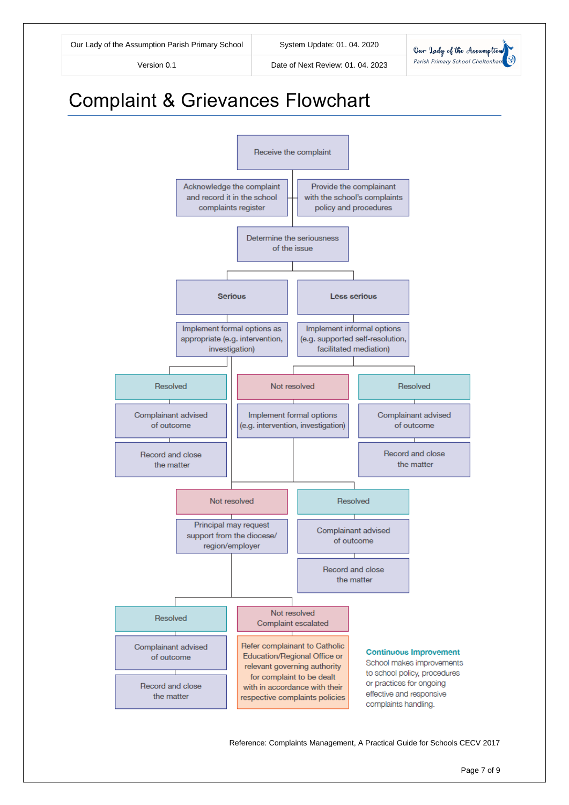Our Lady of the Assumption Parish Primary School Cheltenha

Version 0.1 Date of Next Review: 01. 04. 2023

## Complaint & Grievances Flowchart



Reference: Complaints Management, A Practical Guide for Schools CECV 2017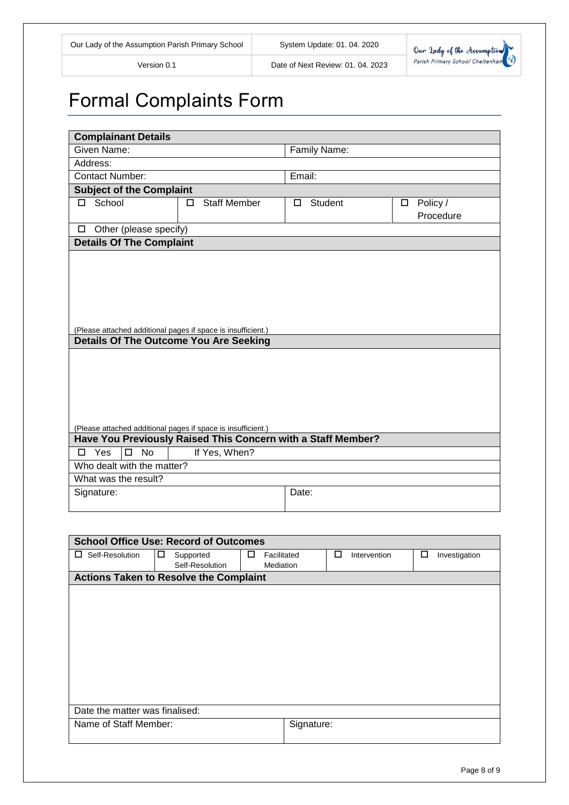Version 0.1 Date of Next Review: 01. 04. 2023



## Formal Complaints Form

| <b>Complainant Details</b>                                   |                          |              |               |  |  |  |  |  |
|--------------------------------------------------------------|--------------------------|--------------|---------------|--|--|--|--|--|
| Given Name:                                                  |                          | Family Name: |               |  |  |  |  |  |
| Address:                                                     |                          |              |               |  |  |  |  |  |
| <b>Contact Number:</b>                                       |                          | Email:       |               |  |  |  |  |  |
| <b>Subject of the Complaint</b>                              |                          |              |               |  |  |  |  |  |
| □ School                                                     | <b>Staff Member</b><br>П | Student<br>□ | Policy /<br>□ |  |  |  |  |  |
|                                                              |                          |              | Procedure     |  |  |  |  |  |
| Other (please specify)<br>□                                  |                          |              |               |  |  |  |  |  |
| <b>Details Of The Complaint</b>                              |                          |              |               |  |  |  |  |  |
|                                                              |                          |              |               |  |  |  |  |  |
|                                                              |                          |              |               |  |  |  |  |  |
|                                                              |                          |              |               |  |  |  |  |  |
|                                                              |                          |              |               |  |  |  |  |  |
|                                                              |                          |              |               |  |  |  |  |  |
|                                                              |                          |              |               |  |  |  |  |  |
| (Please attached additional pages if space is insufficient.) |                          |              |               |  |  |  |  |  |
| <b>Details Of The Outcome You Are Seeking</b>                |                          |              |               |  |  |  |  |  |
|                                                              |                          |              |               |  |  |  |  |  |
|                                                              |                          |              |               |  |  |  |  |  |
|                                                              |                          |              |               |  |  |  |  |  |
|                                                              |                          |              |               |  |  |  |  |  |
|                                                              |                          |              |               |  |  |  |  |  |
|                                                              |                          |              |               |  |  |  |  |  |
| (Please attached additional pages if space is insufficient.) |                          |              |               |  |  |  |  |  |
| Have You Previously Raised This Concern with a Staff Member? |                          |              |               |  |  |  |  |  |
| <b>No</b><br>Yes<br>$\Box$<br>П.                             | If Yes, When?            |              |               |  |  |  |  |  |
| Who dealt with the matter?                                   |                          |              |               |  |  |  |  |  |
| What was the result?                                         |                          |              |               |  |  |  |  |  |
| Signature:                                                   |                          | Date:        |               |  |  |  |  |  |
|                                                              |                          |              |               |  |  |  |  |  |
|                                                              |                          |              |               |  |  |  |  |  |

| <b>School Office Use: Record of Outcomes</b>  |                 |                  |            |              |                    |  |  |  |  |
|-----------------------------------------------|-----------------|------------------|------------|--------------|--------------------|--|--|--|--|
| Self-Resolution<br>ப                          | □<br>Supported  | Facilitated<br>ப | □          | Intervention | Investigation<br>□ |  |  |  |  |
|                                               | Self-Resolution | <b>Mediation</b> |            |              |                    |  |  |  |  |
| <b>Actions Taken to Resolve the Complaint</b> |                 |                  |            |              |                    |  |  |  |  |
|                                               |                 |                  |            |              |                    |  |  |  |  |
|                                               |                 |                  |            |              |                    |  |  |  |  |
|                                               |                 |                  |            |              |                    |  |  |  |  |
|                                               |                 |                  |            |              |                    |  |  |  |  |
|                                               |                 |                  |            |              |                    |  |  |  |  |
|                                               |                 |                  |            |              |                    |  |  |  |  |
|                                               |                 |                  |            |              |                    |  |  |  |  |
|                                               |                 |                  |            |              |                    |  |  |  |  |
|                                               |                 |                  |            |              |                    |  |  |  |  |
|                                               |                 |                  |            |              |                    |  |  |  |  |
|                                               |                 |                  |            |              |                    |  |  |  |  |
| Date the matter was finalised:                |                 |                  |            |              |                    |  |  |  |  |
| Name of Staff Member:                         |                 |                  | Signature: |              |                    |  |  |  |  |
|                                               |                 |                  |            |              |                    |  |  |  |  |